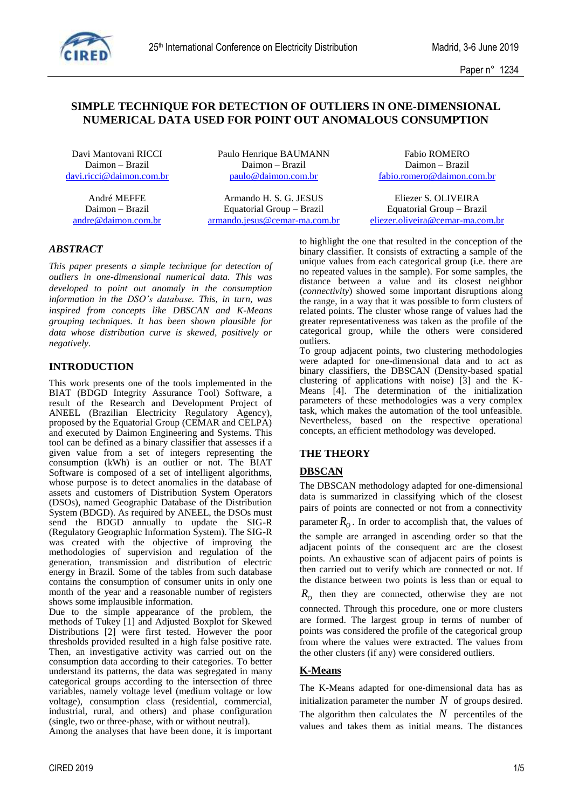

Paper n° 1234

# **SIMPLE TECHNIQUE FOR DETECTION OF OUTLIERS IN ONE-DIMENSIONAL NUMERICAL DATA USED FOR POINT OUT ANOMALOUS CONSUMPTION**

Davi Mantovani RICCI Paulo Henrique BAUMANN Fabio ROMERO Daimon – Brazil Daimon – Brazil Daimon – Brazil

Daimon – Brazil Equatorial Group – Brazil Equatorial Group – Brazil

[davi.ricci@daimon.com.br](mailto:davi.ricci@daimon.com.br) [paulo@daimon.com.br](mailto:paulo@daimon.com.br) [fabio.romero@daimon.com.br](mailto:fabio.romero@daimon.com.br)

André MEFFE Armando H. S. G. JESUS Eliezer S. OLIVEIRA [andre@daimon.com.br](mailto:andre@daimon.com.br) [armando.jesus@cemar-ma.com.br](mailto:armando.jesus@cemar-ma.com.br) [eliezer.oliveira@cemar-ma.com.br](mailto:eliezer.oliveira@cemar-ma.com.br) 

## *ABSTRACT*

*This paper presents a simple technique for detection of outliers in one-dimensional numerical data. This was developed to point out anomaly in the consumption information in the DSO's database. This, in turn, was inspired from concepts like DBSCAN and K-Means grouping techniques. It has been shown plausible for data whose distribution curve is skewed, positively or negatively.*

### **INTRODUCTION**

This work presents one of the tools implemented in the BIAT (BDGD Integrity Assurance Tool) Software, a result of the Research and Development Project of ANEEL (Brazilian Electricity Regulatory Agency), proposed by the Equatorial Group (CEMAR and CELPA) and executed by Daimon Engineering and Systems. This tool can be defined as a binary classifier that assesses if a given value from a set of integers representing the consumption (kWh) is an outlier or not. The BIAT Software is composed of a set of intelligent algorithms, whose purpose is to detect anomalies in the database of assets and customers of Distribution System Operators (DSOs), named Geographic Database of the Distribution System (BDGD). As required by ANEEL, the DSOs must send the BDGD annually to update the SIG-R (Regulatory Geographic Information System). The SIG-R was created with the objective of improving the methodologies of supervision and regulation of the generation, transmission and distribution of electric energy in Brazil. Some of the tables from such database contains the consumption of consumer units in only one month of the year and a reasonable number of registers shows some implausible information.

Due to the simple appearance of the problem, the methods of Tukey [1] and Adjusted Boxplot for Skewed Distributions [2] were first tested. However the poor thresholds provided resulted in a high false positive rate. Then, an investigative activity was carried out on the consumption data according to their categories. To better understand its patterns, the data was segregated in many categorical groups according to the intersection of three variables, namely voltage level (medium voltage or low voltage), consumption class (residential, commercial, industrial, rural, and others) and phase configuration (single, two or three-phase, with or without neutral).

Among the analyses that have been done, it is important

to highlight the one that resulted in the conception of the binary classifier. It consists of extracting a sample of the unique values from each categorical group (i.e. there are no repeated values in the sample). For some samples, the distance between a value and its closest neighbor (*connectivity*) showed some important disruptions along the range, in a way that it was possible to form clusters of related points. The cluster whose range of values had the greater representativeness was taken as the profile of the categorical group, while the others were considered outliers.

To group adjacent points, two clustering methodologies were adapted for one-dimensional data and to act as binary classifiers, the DBSCAN (Density-based spatial clustering of applications with noise) [3] and the K-Means [4]. The determination of the initialization parameters of these methodologies was a very complex task, which makes the automation of the tool unfeasible. Nevertheless, based on the respective operational concepts, an efficient methodology was developed.

# **THE THEORY**

# **DBSCAN**

The DBSCAN methodology adapted for one-dimensional data is summarized in classifying which of the closest pairs of points are connected or not from a connectivity parameter  $R$ <sup>*O*</sup>. In order to accomplish that, the values of

the sample are arranged in ascending order so that the adjacent points of the consequent arc are the closest points. An exhaustive scan of adjacent pairs of points is then carried out to verify which are connected or not. If the distance between two points is less than or equal to

 $R$ <sup>*O*</sup> then they are connected, otherwise they are not connected. Through this procedure, one or more clusters are formed. The largest group in terms of number of points was considered the profile of the categorical group from where the values were extracted. The values from the other clusters (if any) were considered outliers.

# **K-Means**

The K-Means adapted for one-dimensional data has as initialization parameter the number  $N$  of groups desired. The algorithm then calculates the  $N$  percentiles of the values and takes them as initial means. The distances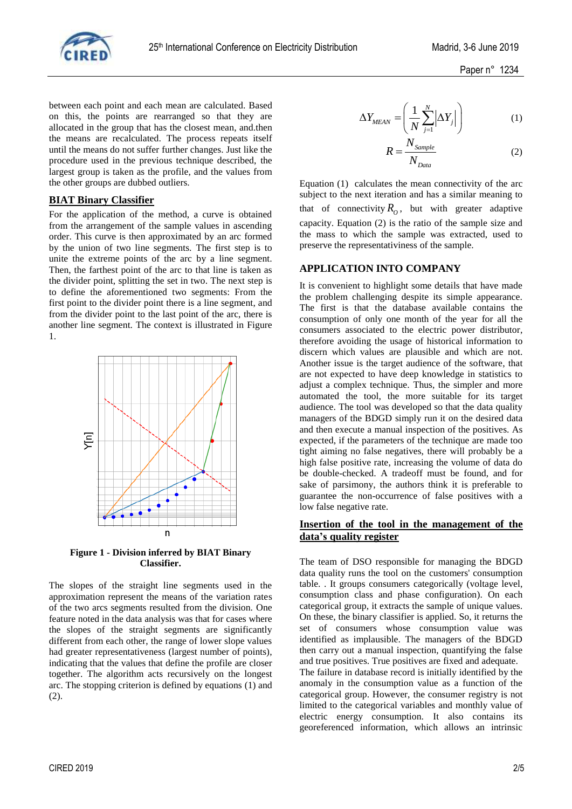

between each point and each mean are calculated. Based on this, the points are rearranged so that they are allocated in the group that has the closest mean, and.then the means are recalculated. The process repeats itself until the means do not suffer further changes. Just like the procedure used in the previous technique described, the largest group is taken as the profile, and the values from the other groups are dubbed outliers.

#### **BIAT Binary Classifier**

For the application of the method, a curve is obtained from the arrangement of the sample values in ascending order. This curve is then approximated by an arc formed by the union of two line segments. The first step is to unite the extreme points of the arc by a line segment. Then, the farthest point of the arc to that line is taken as the divider point, splitting the set in two. The next step is to define the aforementioned two segments: From the first point to the divider point there is a line segment, and from the divider point to the last point of the arc, there is another line segment. The context is illustrated in [Figure](#page-1-0) [1.](#page-1-0)



<span id="page-1-0"></span>**Figure 1 - Division inferred by BIAT Binary Classifier.**

The slopes of the straight line segments used in the approximation represent the means of the variation rates of the two arcs segments resulted from the division. One feature noted in the data analysis was that for cases where the slopes of the straight segments are significantly different from each other, the range of lower slope values had greater representativeness (largest number of points), indicating that the values that define the profile are closer together. The algorithm acts recursively on the longest arc. The stopping criterion is defined by equations (1) and (2).

$$
\Delta Y_{MEAN} = \left(\frac{1}{N} \sum_{j=1}^{N} \left| \Delta Y_j \right| \right) \tag{1}
$$

$$
R = \frac{N_{Sample}}{N_{Data}}
$$
 (2)

Equation (1) calculates the mean connectivity of the arc subject to the next iteration and has a similar meaning to that of connectivity  $R_0$ , but with greater adaptive capacity. Equation (2) is the ratio of the sample size and the mass to which the sample was extracted, used to preserve the representativiness of the sample.

### **APPLICATION INTO COMPANY**

It is convenient to highlight some details that have made the problem challenging despite its simple appearance. The first is that the database available contains the consumption of only one month of the year for all the consumers associated to the electric power distributor, therefore avoiding the usage of historical information to discern which values are plausible and which are not. Another issue is the target audience of the software, that are not expected to have deep knowledge in statistics to adjust a complex technique. Thus, the simpler and more automated the tool, the more suitable for its target audience. The tool was developed so that the data quality managers of the BDGD simply run it on the desired data and then execute a manual inspection of the positives. As expected, if the parameters of the technique are made too tight aiming no false negatives, there will probably be a high false positive rate, increasing the volume of data do be double-checked. A tradeoff must be found, and for sake of parsimony, the authors think it is preferable to guarantee the non-occurrence of false positives with a low false negative rate.

#### **Insertion of the tool in the management of the data's quality register**

The team of DSO responsible for managing the BDGD data quality runs the tool on the customers' consumption table. . It groups consumers categorically (voltage level, consumption class and phase configuration). On each categorical group, it extracts the sample of unique values. On these, the binary classifier is applied. So, it returns the set of consumers whose consumption value was identified as implausible. The managers of the BDGD then carry out a manual inspection, quantifying the false and true positives. True positives are fixed and adequate. The failure in database record is initially identified by the anomaly in the consumption value as a function of the categorical group. However, the consumer registry is not limited to the categorical variables and monthly value of electric energy consumption. It also contains its georeferenced information, which allows an intrinsic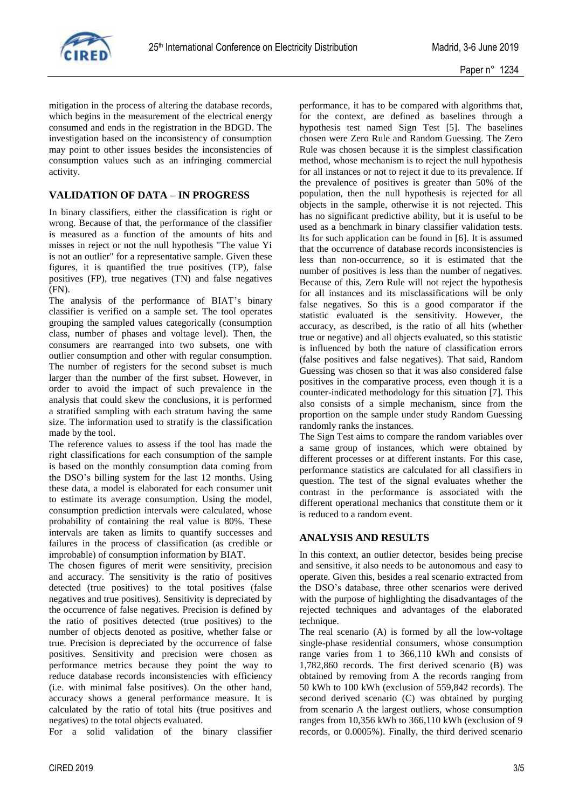

mitigation in the process of altering the database records, which begins in the measurement of the electrical energy consumed and ends in the registration in the BDGD. The investigation based on the inconsistency of consumption may point to other issues besides the inconsistencies of consumption values such as an infringing commercial activity.

## **VALIDATION OF DATA – IN PROGRESS**

In binary classifiers, either the classification is right or wrong. Because of that, the performance of the classifier is measured as a function of the amounts of hits and misses in reject or not the null hypothesis "The value Yi is not an outlier" for a representative sample. Given these figures, it is quantified the true positives (TP), false positives (FP), true negatives (TN) and false negatives (FN).

The analysis of the performance of BIAT's binary classifier is verified on a sample set. The tool operates grouping the sampled values categorically (consumption class, number of phases and voltage level). Then, the consumers are rearranged into two subsets, one with outlier consumption and other with regular consumption. The number of registers for the second subset is much larger than the number of the first subset. However, in order to avoid the impact of such prevalence in the analysis that could skew the conclusions, it is performed a stratified sampling with each stratum having the same size. The information used to stratify is the classification made by the tool.

The reference values to assess if the tool has made the right classifications for each consumption of the sample is based on the monthly consumption data coming from the DSO's billing system for the last 12 months. Using these data, a model is elaborated for each consumer unit to estimate its average consumption. Using the model, consumption prediction intervals were calculated, whose probability of containing the real value is 80%. These intervals are taken as limits to quantify successes and failures in the process of classification (as credible or improbable) of consumption information by BIAT.

The chosen figures of merit were sensitivity, precision and accuracy. The sensitivity is the ratio of positives detected (true positives) to the total positives (false negatives and true positives). Sensitivity is depreciated by the occurrence of false negatives. Precision is defined by the ratio of positives detected (true positives) to the number of objects denoted as positive, whether false or true. Precision is depreciated by the occurrence of false positives. Sensitivity and precision were chosen as performance metrics because they point the way to reduce database records inconsistencies with efficiency (i.e. with minimal false positives). On the other hand, accuracy shows a general performance measure. It is calculated by the ratio of total hits (true positives and negatives) to the total objects evaluated.

For a solid validation of the binary classifier

performance, it has to be compared with algorithms that, for the context, are defined as baselines through a hypothesis test named Sign Test [5]. The baselines chosen were Zero Rule and Random Guessing. The Zero Rule was chosen because it is the simplest classification method, whose mechanism is to reject the null hypothesis for all instances or not to reject it due to its prevalence. If the prevalence of positives is greater than 50% of the population, then the null hypothesis is rejected for all objects in the sample, otherwise it is not rejected. This has no significant predictive ability, but it is useful to be used as a benchmark in binary classifier validation tests. Its for such application can be found in [6]. It is assumed that the occurrence of database records inconsistencies is less than non-occurrence, so it is estimated that the number of positives is less than the number of negatives. Because of this, Zero Rule will not reject the hypothesis for all instances and its misclassifications will be only false negatives. So this is a good comparator if the statistic evaluated is the sensitivity. However, the accuracy, as described, is the ratio of all hits (whether true or negative) and all objects evaluated, so this statistic is influenced by both the nature of classification errors (false positives and false negatives). That said, Random Guessing was chosen so that it was also considered false positives in the comparative process, even though it is a counter-indicated methodology for this situation [7]. This also consists of a simple mechanism, since from the proportion on the sample under study Random Guessing randomly ranks the instances.

The Sign Test aims to compare the random variables over a same group of instances, which were obtained by different processes or at different instants. For this case, performance statistics are calculated for all classifiers in question. The test of the signal evaluates whether the contrast in the performance is associated with the different operational mechanics that constitute them or it is reduced to a random event.

### **ANALYSIS AND RESULTS**

In this context, an outlier detector, besides being precise and sensitive, it also needs to be autonomous and easy to operate. Given this, besides a real scenario extracted from the DSO's database, three other scenarios were derived with the purpose of highlighting the disadvantages of the rejected techniques and advantages of the elaborated technique.

The real scenario (A) is formed by all the low-voltage single-phase residential consumers, whose consumption range varies from 1 to 366,110 kWh and consists of 1,782,860 records. The first derived scenario (B) was obtained by removing from A the records ranging from 50 kWh to 100 kWh (exclusion of 559,842 records). The second derived scenario (C) was obtained by purging from scenario A the largest outliers, whose consumption ranges from 10,356 kWh to 366,110 kWh (exclusion of 9 records, or 0.0005%). Finally, the third derived scenario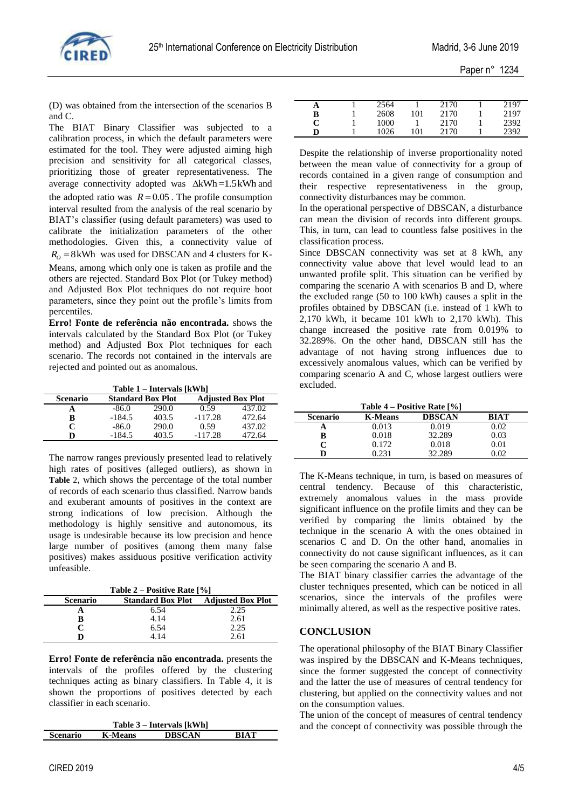

(D) was obtained from the intersection of the scenarios B and C.

The BIAT Binary Classifier was subjected to a calibration process, in which the default parameters were estimated for the tool. They were adjusted aiming high precision and sensitivity for all categorical classes, prioritizing those of greater representativeness. The average connectivity adopted was  $\Delta kWh = 1.5kWh$  and the adopted ratio was  $R = 0.05$ . The profile consumption interval resulted from the analysis of the real scenario by BIAT's classifier (using default parameters) was used to calibrate the initialization parameters of the other methodologies. Given this, a connectivity value of  $R_0 = 8$  kWh was used for DBSCAN and 4 clusters for K-Means, among which only one is taken as profile and the others are rejected. Standard Box Plot (or Tukey method) and Adjusted Box Plot techniques do not require boot parameters, since they point out the profile's limits from

percentiles. **Erro! Fonte de referência não encontrada.** shows the intervals calculated by the Standard Box Plot (or Tukey method) and Adjusted Box Plot techniques for each scenario. The records not contained in the intervals are rejected and pointed out as anomalous.

**Table 1 – Intervals [kWh]**

|                 |                          | $1.4010 \pm 1.11001 \times 1.1001$ |                          |        |
|-----------------|--------------------------|------------------------------------|--------------------------|--------|
| <b>Scenario</b> | <b>Standard Box Plot</b> |                                    | <b>Adjusted Box Plot</b> |        |
|                 | $-86.0$                  | 290.0                              | 0.59                     | 437.02 |
| B               | $-184.5$                 | 403.5                              | $-117.28$                | 472.64 |
| C               | $-86.0$                  | 290.0                              | 0.59                     | 437.02 |
| D               | $-184.5$                 | 403.5                              | $-117.28$                | 472.64 |

The narrow ranges previously presented lead to relatively high rates of positives (alleged outliers), as shown in **[Table](#page-3-0)** 2, which shows the percentage of the total number of records of each scenario thus classified. Narrow bands and exuberant amounts of positives in the context are strong indications of low precision. Although the methodology is highly sensitive and autonomous, its usage is undesirable because its low precision and hence large number of positives (among them many false positives) makes assiduous positive verification activity unfeasible.

**Table 2 – Positive Rate [%]**

<span id="page-3-0"></span>

| $1400C = 10800C$ Name $1701$ |                          |                          |  |  |
|------------------------------|--------------------------|--------------------------|--|--|
| <b>Scenario</b>              | <b>Standard Box Plot</b> | <b>Adjusted Box Plot</b> |  |  |
|                              | 6.54                     | 2.25                     |  |  |
|                              | 4.14                     | 2.61                     |  |  |
|                              | 6.54                     | 2.25                     |  |  |
|                              | 4.14                     | 2.61                     |  |  |

**Erro! Fonte de referência não encontrada.** presents the intervals of the profiles offered by the clustering techniques acting as binary classifiers. In Table 4, it is shown the proportions of positives detected by each classifier in each scenario.

| Table 3 – Intervals [kWh] |                |               |             |  |
|---------------------------|----------------|---------------|-------------|--|
| <b>Scenario</b>           | <b>K-Means</b> | <b>DBSCAN</b> | <b>BIAT</b> |  |

| А | 2564 |     | 2170 | 2197 |
|---|------|-----|------|------|
| в | 2608 | 101 | 2170 | 2197 |
| C | 1000 |     | 2170 | 2392 |
| D | 1026 | 101 | 2170 | 2392 |
|   |      |     |      |      |

Despite the relationship of inverse proportionality noted between the mean value of connectivity for a group of records contained in a given range of consumption and their respective representativeness in the group, connectivity disturbances may be common.

In the operational perspective of DBSCAN, a disturbance can mean the division of records into different groups. This, in turn, can lead to countless false positives in the classification process.

Since DBSCAN connectivity was set at 8 kWh, any connectivity value above that level would lead to an unwanted profile split. This situation can be verified by comparing the scenario A with scenarios B and D, where the excluded range (50 to 100 kWh) causes a split in the profiles obtained by DBSCAN (i.e. instead of 1 kWh to 2,170 kWh, it became 101 kWh to 2,170 kWh). This change increased the positive rate from 0.019% to 32.289%. On the other hand, DBSCAN still has the advantage of not having strong influences due to excessively anomalous values, which can be verified by comparing scenario A and C, whose largest outliers were excluded.

|                 | Table 4 – Positive Rate [%] |               |      |  |  |
|-----------------|-----------------------------|---------------|------|--|--|
| <b>Scenario</b> | <b>K-Means</b>              | <b>DBSCAN</b> | RIAT |  |  |
|                 | 0.013                       | 0.019         | 0.02 |  |  |
| B               | 0.018                       | 32.289        | 0.03 |  |  |
|                 | 0.172                       | 0.018         | 0.01 |  |  |
|                 | ገ 231                       | 32.289        | ന    |  |  |

The K-Means technique, in turn, is based on measures of central tendency. Because of this characteristic, extremely anomalous values in the mass provide significant influence on the profile limits and they can be verified by comparing the limits obtained by the technique in the scenario A with the ones obtained in scenarios C and D. On the other hand, anomalies in connectivity do not cause significant influences, as it can be seen comparing the scenario A and B.

The BIAT binary classifier carries the advantage of the cluster techniques presented, which can be noticed in all scenarios, since the intervals of the profiles were minimally altered, as well as the respective positive rates.

### **CONCLUSION**

The operational philosophy of the BIAT Binary Classifier was inspired by the DBSCAN and K-Means techniques, since the former suggested the concept of connectivity and the latter the use of measures of central tendency for clustering, but applied on the connectivity values and not on the consumption values.

The union of the concept of measures of central tendency and the concept of connectivity was possible through the